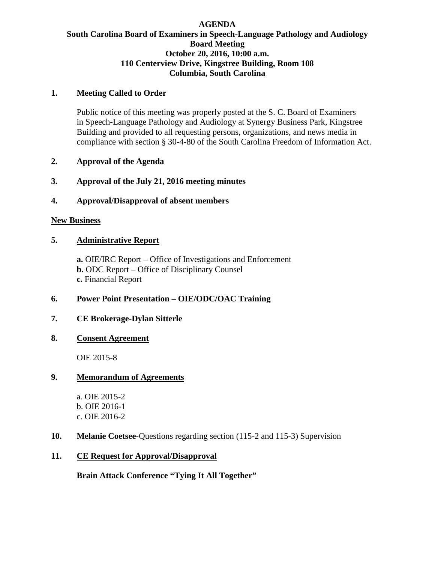#### **AGENDA South Carolina Board of Examiners in Speech-Language Pathology and Audiology Board Meeting October 20, 2016, 10:00 a.m. 110 Centerview Drive, Kingstree Building, Room 108 Columbia, South Carolina**

#### **1. Meeting Called to Order**

Public notice of this meeting was properly posted at the S. C. Board of Examiners in Speech-Language Pathology and Audiology at Synergy Business Park, Kingstree Building and provided to all requesting persons, organizations, and news media in compliance with section § 30-4-80 of the South Carolina Freedom of Information Act.

### **2. Approval of the Agenda**

### **3. Approval of the July 21, 2016 meeting minutes**

### **4. Approval/Disapproval of absent members**

#### **New Business**

# **5. Administrative Report**

**a.** OIE/IRC Report – Office of Investigations and Enforcement **b.** ODC Report – Office of Disciplinary Counsel **c.** Financial Report

# **6. Power Point Presentation – OIE/ODC/OAC Training**

# **7. CE Brokerage-Dylan Sitterle**

# **8. Consent Agreement**

OIE 2015-8

#### **9. Memorandum of Agreements**

a. OIE 2015-2 b. OIE 2016-1 c. OIE 2016-2

# **10. Melanie Coetsee-**Questions regarding section (115-2 and 115-3) Supervision

#### **11. CE Request for Approval/Disapproval**

**Brain Attack Conference "Tying It All Together"**